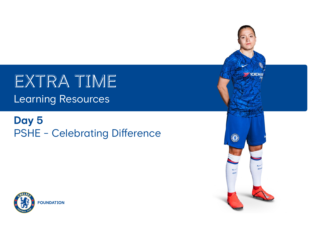EXTRA TIME Learning Resources

**Day 5** PSHE - Celebrating Difference



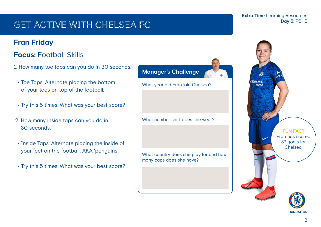# GET active with Chelsea fc

### **Fran Friday**

### **Focus:** Football Skills

- 1. How many toe taps can you do in 30 seconds.
	- Toe Taps: Alternate placing the bottom of your toes on top of the football.
	- Try this 5 times. What was your best score?
- 2. How many inside taps can you do in 30 seconds.
- Inside Taps: Alternate placing the inside of your feet on the football, AKA 'penguins'.
- Try this 5 times. What was your best score?



#### **Extra Time** Learning Resources **Day 5:** PSHE



**FUN FACT** Fran has scored 37 goals for Chelsea.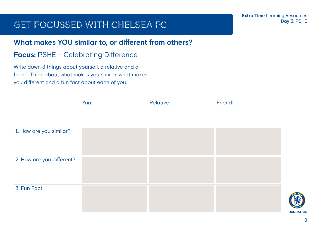# GET focussed with Chelsea fc

### **What makes YOU similar to, or different from others?**

#### **Focus: PSHE - Celebrating Difference**

Write down 3 things about yourself, a relative and a friend. Think about what makes you similar, what makes you different and a fun fact about each of you.

|                           | You: | <b>Relative:</b> | Friend: |
|---------------------------|------|------------------|---------|
|                           |      |                  |         |
|                           |      |                  |         |
| 1. How are you similar?   |      |                  |         |
|                           |      |                  |         |
| 2. How are you different? |      |                  |         |
| 3. Fun Fact               |      |                  |         |

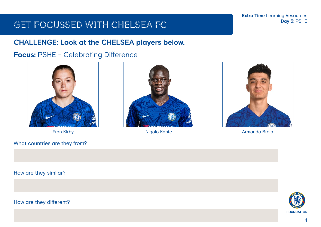# **Extra Time** Learning Resources<br>**Day 5: PSHE**

# **GET FOCUSSED WITH CHELSEA FC**

### **CHALLENGE: Look at the CHELSEA players below.**

### **Focus:** PSHE - Celebrating Difference



What countries are they from?





Fran Kirby **N'golo Kante** Armando Broja

How are they similar?



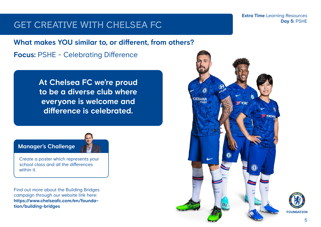**Extra Time** Learning Resources

# GET CREATIVE WITH CHELSEA FC **Day 5: PSHE**

**What makes YOU similar to, or different, from others?**

**Focus: PSHE - Celebrating Difference** 

**At Chelsea FC we're proud to be a diverse club where everyone is welcome and difference is celebrated.**



Create a poster which represents your school class and all the differences within it.

Find out more about the Building Bridges campaign through our website link here: **https://www.chelseafc.com/en/foundation/building-bridges**

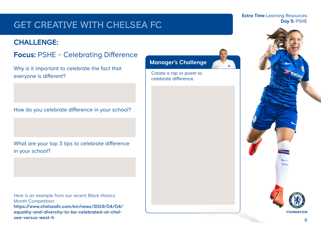# GET CREATIVE WITH CHELSEA FC **Day 5: PSHE**

### **CHALLENGE:**

### **Focus: PSHE - Celebrating Difference**

Why is it important to celebrate the fact that everyone is different?

How do you celebrate difference in your school?

What are your top 3 tips to celebrate difference in your school?

Here is an example from our recent Black History Month Competition: **https://www.chelseafc.com/en/news/2019/04/04/ equality-and-diversity-to-be-celebrated-at-chelsea-versus-west-h**

### **Manager's Challenge**

Create a rap or poem to celebrate difference.